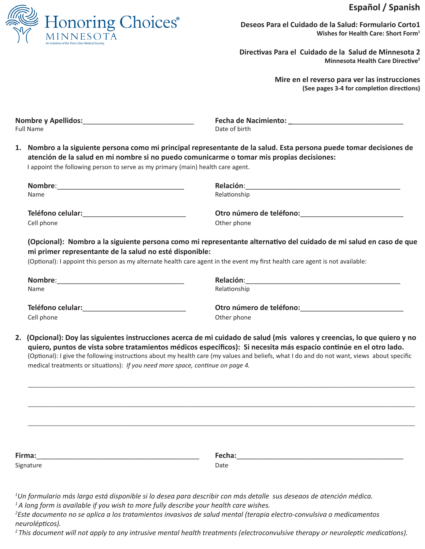# **Español / Spanish**



**Deseos Para el Cuidado de la Salud: Formulario Corto1 Wishes for Health Care: Short Form1**

**Directivas Para el Cuidado de la Salud de Minnesota 2 Minnesota Health Care Directive2**

> **Mire en el reverso para ver las instrucciones (See pages 3-4 for completion directions)**

| <b>Nombre y Apellidos:</b> | <b>Fecha de Nacimiento:</b> |
|----------------------------|-----------------------------|
| Full Name                  | Date of birth               |
|                            |                             |

**1. Nombro a la siguiente persona como mi principal representante de la salud. Esta persona puede tomar decisiones de atención de la salud en mi nombre si no puedo comunicarme o tomar mis propias decisiones:** I appoint the following person to serve as my primary (main) health care agent.

**Nombre**:\_\_\_\_\_\_\_\_\_\_\_\_\_\_\_\_\_\_\_\_\_\_\_\_\_\_\_\_\_\_\_\_ **Relación**:\_\_\_\_\_\_\_\_\_\_\_\_\_\_\_\_\_\_\_\_\_\_\_\_\_\_\_\_\_\_\_\_\_\_\_\_\_\_\_ Name **Name Name**  *Name Name Name Relationship Relationship* **Teléfono celular:**\_\_\_\_\_\_\_\_\_\_\_\_\_\_\_\_\_\_\_\_\_\_\_\_\_\_ **Otro número de teléfono:**\_\_\_\_\_\_\_\_\_\_\_\_\_\_\_\_\_\_\_\_\_\_\_\_\_\_ Cell phone **Cell** phone **Cell** phone **Cell** phone **Other phone** 

**(Opcional): Nombro a la siguiente persona como mi representante alternativo del cuidado de mi salud en caso de que mi primer representante de la salud no esté disponible:**

(Optional): I appoint this person as my alternate health care agent in the event my first health care agent is not available:

| Nombre:<br>Name   | Relación:<br>Relationship |
|-------------------|---------------------------|
| Teléfono celular: | Otro número de teléfono:  |
| Cell phone        | Other phone               |

**2. (Opcional): Doy las siguientes instrucciones acerca de mi cuidado de salud (mis valores y creencias, lo que quiero y no quiero, puntos de vista sobre tratamientos médicos específicos): Si necesita más espacio continúe en el otro lado.** (Optional): I give the following instructions about my health care (my values and beliefs, what I do and do not want, views about specific medical treatments or situations): *If you need more space, continue on page 4.*

 $\overline{\phantom{a}}$  , and the contribution of the contribution of the contribution of the contribution of the contribution of the contribution of the contribution of the contribution of the contribution of the contribution of the

 $\overline{\phantom{a}}$  , and the contribution of the contribution of the contribution of the contribution of the contribution of the contribution of the contribution of the contribution of the contribution of the contribution of the

 $\overline{\phantom{a}}$  , and the contribution of the contribution of the contribution of the contribution of the contribution of the contribution of the contribution of the contribution of the contribution of the contribution of the

| Firma:    | Fecha: |
|-----------|--------|
| Signature | Date   |

*1 Un formulario más largo está disponible si lo desea para describir con más detalle sus deseaos de atención médica. <sup>1</sup>A long form is available if you wish to more fully describe your health care wishes.* 

*2 Este documento no se aplica a los tratamientos invasivos de salud mental (terapia electro-convulsiva o medicamentos neurolépticos).* 

*2 This document will not apply to any intrusive mental health treatments (electroconvulsive therapy or neuroleptic medications).*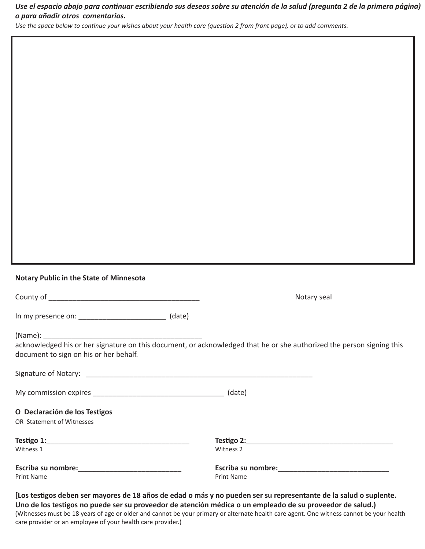# *Use el espacio abajo para continuar escribiendo sus deseos sobre su atención de la salud (pregunta 2 de la primera página) o para añadir otros comentarios.*

*Use the space below to continue your wishes about your health care (question 2 from front page), or to add comments.*

#### **Notary Public in the State of Minnesota**

County of \_\_\_\_\_\_\_\_\_\_\_\_\_\_\_\_\_\_\_\_\_\_\_\_\_\_\_\_\_\_\_\_\_\_\_\_\_\_ Notary seal

In my presence on: \_\_\_\_\_\_\_\_\_\_\_\_\_\_\_\_\_\_\_\_\_\_ (date) 

Print Name **Print Name** Print Name **Print Name** 

(Name): \_\_\_\_\_\_\_\_\_\_\_\_\_\_\_\_\_\_\_\_\_\_\_\_\_\_\_\_\_\_\_\_\_\_\_\_\_\_\_\_

acknowledged his or her signature on this document, or acknowledged that he or she authorized the person signing this document to sign on his or her behalf.

|                               | (date)                    |  |
|-------------------------------|---------------------------|--|
| O Declaración de los Testigos |                           |  |
| OR Statement of Witnesses     |                           |  |
|                               | Testigo 2:                |  |
| Witness 1                     | Witness 2                 |  |
| <b>Escriba su nombre:</b>     | <b>Escriba su nombre:</b> |  |

**[Los testigos deben ser mayores de 18 años de edad o más y no pueden ser su representante de la salud o suplente. Uno de los testigos no puede ser su proveedor de atención médica o un empleado de su proveedor de salud.)** (Witnesses must be 18 years of age or older and cannot be your primary or alternate health care agent. One witness cannot be your health care provider or an employee of your health care provider.)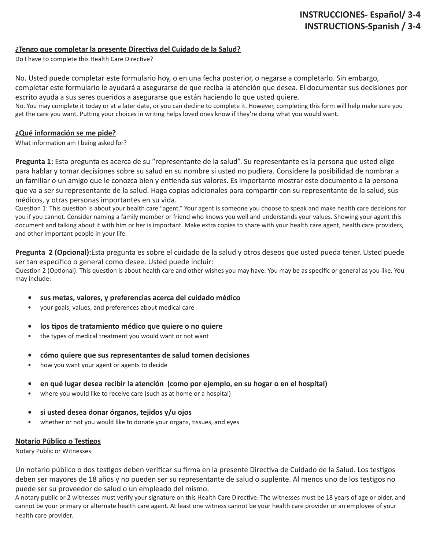# **INSTRUCCIONES- Español/ 3-4 INSTRUCTIONS-Spanish / 3-4**

## **¿Tengo que completar la presente Directiva del Cuidado de la Salud?**

Do I have to complete this Health Care Directive?

No. Usted puede completar este formulario hoy, o en una fecha posterior, o negarse a completarlo. Sin embargo, completar este formulario le ayudará a asegurarse de que reciba la atención que desea. El documentar sus decisiones por escrito ayuda a sus seres queridos a asegurarse que están haciendo lo que usted quiere.

No. You may complete it today or at a later date, or you can decline to complete it. However, completing this form will help make sure you get the care you want. Putting your choices in writing helps loved ones know if they're doing what you would want.

## **¿Qué información se me pide?**

What information am I being asked for?

**Pregunta 1:** Esta pregunta es acerca de su "representante de la salud". Su representante es la persona que usted elige para hablar y tomar decisiones sobre su salud en su nombre si usted no pudiera. Considere la posibilidad de nombrar a un familiar o un amigo que le conozca bien y entienda sus valores. Es importante mostrar este documento a la persona que va a ser su representante de la salud. Haga copias adicionales para compartir con su representante de la salud, sus médicos, y otras personas importantes en su vida.

Question 1: This question is about your health care "agent." Your agent is someone you choose to speak and make health care decisions for you if you cannot. Consider naming a family member or friend who knows you well and understands your values. Showing your agent this document and talking about it with him or her is important. Make extra copies to share with your health care agent, health care providers, and other important people in your life.

**Pregunta 2 (Opcional):**Esta pregunta es sobre el cuidado de la salud y otros deseos que usted pueda tener. Usted puede ser tan específico o general como desee. Usted puede incluir:

Question 2 (Optional): This question is about health care and other wishes you may have. You may be as specific or general as you like. You may include:

- **• sus metas, valores, y preferencias acerca del cuidado médico**
- your goals, values, and preferences about medical care
- **• los tipos de tratamiento médico que quiere o no quiere**
- the types of medical treatment you would want or not want
- **• cómo quiere que sus representantes de salud tomen decisiones**
- how you want your agent or agents to decide
- **• en qué lugar desea recibir la atención (como por ejemplo, en su hogar o en el hospital)**
- where you would like to receive care (such as at home or a hospital)
- **• si usted desea donar órganos, tejidos y/u ojos**
- whether or not you would like to donate your organs, tissues, and eyes

#### **Notario Público o Testigos**

Notary Public or Witnesses

Un notario público o dos testigos deben verificar su firma en la presente Directiva de Cuidado de la Salud. Los testigos deben ser mayores de 18 años y no pueden ser su representante de salud o suplente. Al menos uno de los testigos no puede ser su proveedor de salud o un empleado del mismo.

A notary public or 2 witnesses must verify your signature on this Health Care Directive. The witnesses must be 18 years of age or older, and cannot be your primary or alternate health care agent. At least one witness cannot be your health care provider or an employee of your health care provider.